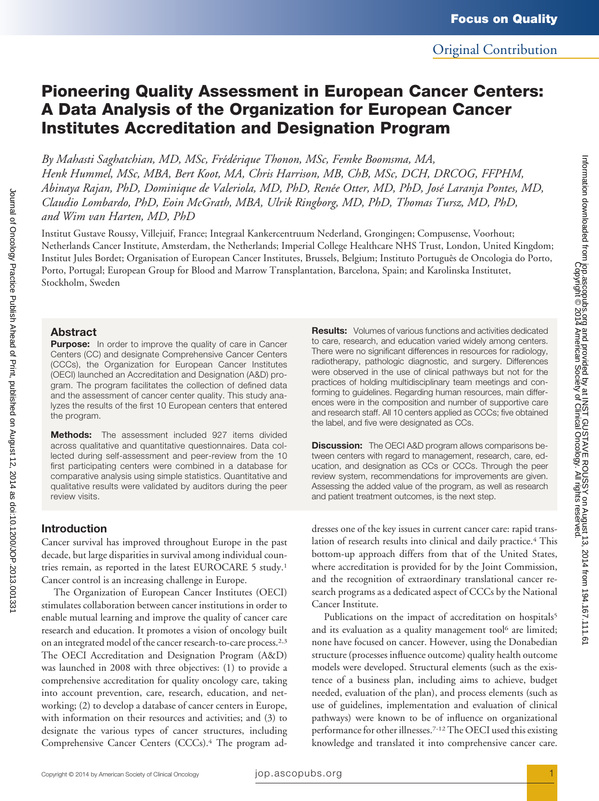# **Pioneering Quality Assessment in European Cancer Centers: A Data Analysis of the Organization for European Cancer Institutes Accreditation and Designation Program**

By Mahasti Saghatchian, MD, MSc, Frédérique Thonon, MSc, Femke Boomsma, MA, *Henk Hummel, MSc, MBA, Bert Koot, MA, Chris Harrison, MB, ChB, MSc, DCH, DRCOG, FFPHM, Abinaya Rajan, PhD, Dominique de Valeriola, MD, PhD, Rene´e Otter, MD, PhD, Jose´ Laranja Pontes, MD, Claudio Lombardo, PhD, Eoin McGrath, MBA, Ulrik Ringborg, MD, PhD, Thomas Tursz, MD, PhD, and Wim van Harten, MD, PhD*

Institut Gustave Roussy, Villejuif, France; Integraal Kankercentruum Nederland, Grongingen; Compusense, Voorhout; Netherlands Cancer Institute, Amsterdam, the Netherlands; Imperial College Healthcare NHS Trust, London, United Kingdom; Institut Jules Bordet; Organisation of European Cancer Institutes, Brussels, Belgium; Instituto Português de Oncologia do Porto, Porto, Portugal; European Group for Blood and Marrow Transplantation, Barcelona, Spain; and Karolinska Institutet, Stockholm, Sweden

#### **Abstract**

**Purpose:** In order to improve the quality of care in Cancer Centers (CC) and designate Comprehensive Cancer Centers (CCCs), the Organization for European Cancer Institutes (OECI) launched an Accreditation and Designation (A&D) program. The program facilitates the collection of defined data and the assessment of cancer center quality. This study analyzes the results of the first 10 European centers that entered the program.

**Methods:** The assessment included 927 items divided across qualitative and quantitative questionnaires. Data collected during self-assessment and peer-review from the 10 first participating centers were combined in a database for comparative analysis using simple statistics. Quantitative and qualitative results were validated by auditors during the peer review visits.

# **Introduction**

Cancer survival has improved throughout Europe in the past decade, but large disparities in survival among individual countries remain, as reported in the latest EUROCARE 5 study.<sup>1</sup> Cancer control is an increasing challenge in Europe.

The Organization of European Cancer Institutes (OECI) stimulates collaboration between cancer institutions in order to enable mutual learning and improve the quality of cancer care research and education. It promotes a vision of oncology built on an integrated model of the cancer research-to-care process.2,3 The OECI Accreditation and Designation Program (A&D) was launched in 2008 with three objectives: (1) to provide a comprehensive accreditation for quality oncology care, taking into account prevention, care, research, education, and networking; (2) to develop a database of cancer centers in Europe, with information on their resources and activities; and (3) to designate the various types of cancer structures, including Comprehensive Cancer Centers (CCCs).4 The program ad**Results:** Volumes of various functions and activities dedicated to care, research, and education varied widely among centers. There were no significant differences in resources for radiology, radiotherapy, pathologic diagnostic, and surgery. Differences were observed in the use of clinical pathways but not for the practices of holding multidisciplinary team meetings and conforming to guidelines. Regarding human resources, main differences were in the composition and number of supportive care and research staff. All 10 centers applied as CCCs; five obtained the label, and five were designated as CCs.

**Discussion:** The OECI A&D program allows comparisons between centers with regard to management, research, care, education, and designation as CCs or CCCs. Through the peer review system, recommendations for improvements are given. Assessing the added value of the program, as well as research and patient treatment outcomes, is the next step.

dresses one of the key issues in current cancer care: rapid translation of research results into clinical and daily practice.<sup>4</sup> This bottom-up approach differs from that of the United States, where accreditation is provided for by the Joint Commission, and the recognition of extraordinary translational cancer research programs as a dedicated aspect of CCCs by the National Cancer Institute.

Publications on the impact of accreditation on hospitals<sup>5</sup> and its evaluation as a quality management tool<sup>6</sup> are limited; none have focused on cancer. However, using the Donabedian structure (processes influence outcome) quality health outcome models were developed. Structural elements (such as the existence of a business plan, including aims to achieve, budget needed, evaluation of the plan), and process elements (such as use of guidelines, implementation and evaluation of clinical pathways) were known to be of influence on organizational performance for other illnesses.<sup>7-12</sup> The OECI used this existing knowledge and translated it into comprehensive cancer care.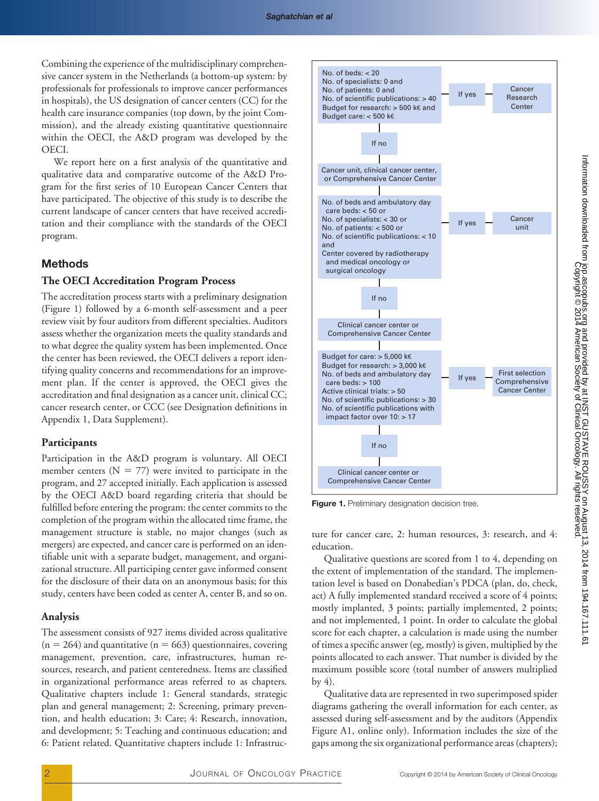Combining the experience of the multidisciplinary comprehensive cancer system in the Netherlands (a bottom-up system: by professionals for professionals to improve cancer performances in hospitals), the US designation of cancer centers (CC) for the health care insurance companies (top down, by the joint Commission), and the already existing quantitative questionnaire within the OECI, the A&D program was developed by the OECI.

We report here on a first analysis of the quantitative and qualitative data and comparative outcome of the A&D Program for the first series of 10 European Cancer Centers that have participated. The objective of this study is to describe the current landscape of cancer centers that have received accreditation and their compliance with the standards of the OECI program.

### **Methods**

#### **The OECI Accreditation Program Process**

The accreditation process starts with a preliminary designation (Figure 1) followed by a 6-month self-assessment and a peer review visit by four auditors from different specialties. Auditors assess whether the organization meets the quality standards and to what degree the quality system has been implemented. Once the center has been reviewed, the OECI delivers a report identifying quality concerns and recommendations for an improvement plan. If the center is approved, the OECI gives the accreditation and final designation as a cancer unit, clinical CC; cancer research center, or CCC (see Designation definitions in Appendix 1, Data Supplement).

#### **Participants**

Participation in the A&D program is voluntary. All OECI member centers ( $N = 77$ ) were invited to participate in the program, and 27 accepted initially. Each application is assessed by the OECI A&D board regarding criteria that should be fulfilled before entering the program: the center commits to the completion of the program within the allocated time frame, the management structure is stable, no major changes (such as mergers) are expected, and cancer care is performed on an identifiable unit with a separate budget, management, and organizational structure. All participing center gave informed consent for the disclosure of their data on an anonymous basis; for this study, centers have been coded as center A, center B, and so on.

#### **Analysis**

The assessment consists of 927 items divided across qualitative  $(n = 264)$  and quantitative  $(n = 663)$  questionnaires, covering management, prevention, care, infrastructures, human resources, research, and patient centeredness. Items are classified in organizational performance areas referred to as chapters. Qualitative chapters include 1: General standards, strategic plan and general management; 2: Screening, primary prevention, and health education; 3: Care; 4: Research, innovation, and development; 5: Teaching and continuous education; and 6: Patient related. Quantitative chapters include 1: Infrastruc-



**Figure 1.** Preliminary designation decision tree.

ture for cancer care, 2: human resources, 3: research, and 4: education.

Qualitative questions are scored from 1 to 4, depending on the extent of implementation of the standard. The implementation level is based on Donabedian's PDCA (plan, do, check, act) A fully implemented standard received a score of 4 points; mostly implanted, 3 points; partially implemented, 2 points; and not implemented, 1 point. In order to calculate the global score for each chapter, a calculation is made using the number of times a specific answer (eg, mostly) is given, multiplied by the points allocated to each answer. That number is divided by the maximum possible score (total number of answers multiplied by 4).

Qualitative data are represented in two superimposed spider diagrams gathering the overall information for each center, as assessed during self-assessment and by the auditors (Appendix Figure A1, online only). Information includes the size of the gaps among the six organizational performance areas (chapters);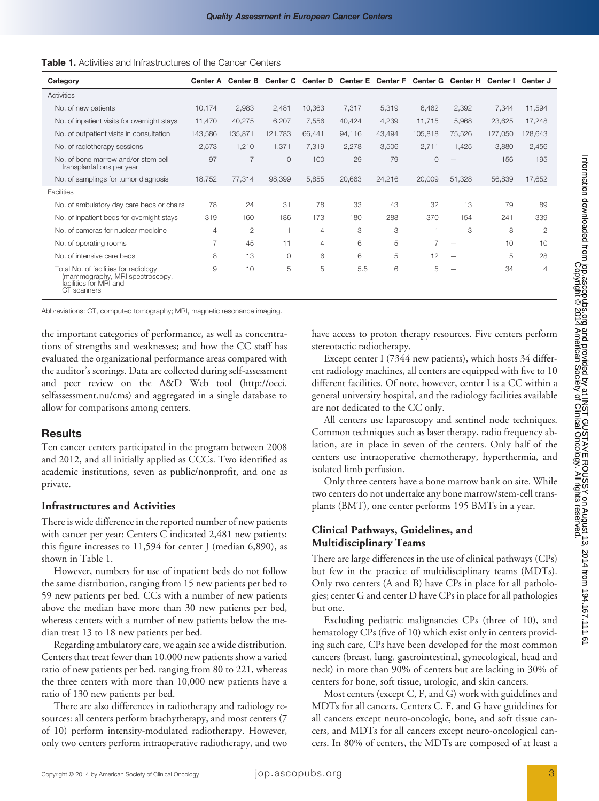| <b>Table 1.</b> Activities and Infrastructures of the Cancer Centers |
|----------------------------------------------------------------------|
|----------------------------------------------------------------------|

| Category                                                                                                          | <b>Center A</b> | <b>Center B</b> | <b>Center C</b> | <b>Center D</b> | <b>Center E</b> | <b>Center F</b> | <b>Center G</b> | <b>Center H</b> | Center I | Center J       |
|-------------------------------------------------------------------------------------------------------------------|-----------------|-----------------|-----------------|-----------------|-----------------|-----------------|-----------------|-----------------|----------|----------------|
| Activities                                                                                                        |                 |                 |                 |                 |                 |                 |                 |                 |          |                |
| No. of new patients                                                                                               | 10,174          | 2,983           | 2,481           | 10,363          | 7,317           | 5,319           | 6,462           | 2,392           | 7,344    | 11,594         |
| No. of inpatient visits for overnight stays                                                                       | 11.470          | 40,275          | 6,207           | 7.556           | 40,424          | 4,239           | 11.715          | 5,968           | 23,625   | 17,248         |
| No. of outpatient visits in consultation                                                                          | 143,586         | 135,871         | 121,783         | 66.441          | 94,116          | 43,494          | 105,818         | 75,526          | 127,050  | 128,643        |
| No. of radiotherapy sessions                                                                                      | 2,573           | 1,210           | 1,371           | 7,319           | 2,278           | 3,506           | 2,711           | 1,425           | 3,880    | 2,456          |
| No. of bone marrow and/or stem cell<br>transplantations per year                                                  | 97              | 7               | $\Omega$        | 100             | 29              | 79              | $\Omega$        |                 | 156      | 195            |
| No. of samplings for tumor diagnosis                                                                              | 18,752          | 77,314          | 98,399          | 5,855           | 20,663          | 24,216          | 20,009          | 51,328          | 56,839   | 17,652         |
| Facilities                                                                                                        |                 |                 |                 |                 |                 |                 |                 |                 |          |                |
| No. of ambulatory day care beds or chairs                                                                         | 78              | 24              | 31              | 78              | 33              | 43              | 32              | 13              | 79       | 89             |
| No. of inpatient beds for overnight stays                                                                         | 319             | 160             | 186             | 173             | 180             | 288             | 370             | 154             | 241      | 339            |
| No. of cameras for nuclear medicine                                                                               | 4               | 2               |                 | $\overline{4}$  | 3               | 3               |                 | 3               | 8        | $\mathfrak{p}$ |
| No. of operating rooms                                                                                            | 7               | 45              | 11              | 4               | 6               | 5               | $\overline{7}$  |                 | 10       | 10             |
| No. of intensive care beds                                                                                        | 8               | 13              | $\Omega$        | 6               | 6               | 5               | 12              |                 | 5        | 28             |
| Total No. of facilities for radiology<br>(mammography, MRI spectroscopy,<br>facilities for MRI and<br>CT scanners | 9               | 10              | 5               | 5               | 5.5             | 6               | 5               |                 | 34       | 4              |

Abbreviations: CT, computed tomography; MRI, magnetic resonance imaging.

the important categories of performance, as well as concentrations of strengths and weaknesses; and how the CC staff has evaluated the organizational performance areas compared with the auditor's scorings. Data are collected during self-assessment and peer review on the A&D Web tool [\(http://oeci.](http://oeci.selfassessment.nu/cms) [selfassessment.nu/cms\)](http://oeci.selfassessment.nu/cms) and aggregated in a single database to allow for comparisons among centers.

### **Results**

Ten cancer centers participated in the program between 2008 and 2012, and all initially applied as CCCs. Two identified as academic institutions, seven as public/nonprofit, and one as private.

#### **Infrastructures and Activities**

There is wide difference in the reported number of new patients with cancer per year: Centers C indicated 2,481 new patients; this figure increases to 11,594 for center J (median 6,890), as shown in Table 1.

However, numbers for use of inpatient beds do not follow the same distribution, ranging from 15 new patients per bed to 59 new patients per bed. CCs with a number of new patients above the median have more than 30 new patients per bed, whereas centers with a number of new patients below the median treat 13 to 18 new patients per bed.

Regarding ambulatory care, we again see a wide distribution. Centers that treat fewer than 10,000 new patients show a varied ratio of new patients per bed, ranging from 80 to 221, whereas the three centers with more than 10,000 new patients have a ratio of 130 new patients per bed.

There are also differences in radiotherapy and radiology resources: all centers perform brachytherapy, and most centers (7 of 10) perform intensity-modulated radiotherapy. However, only two centers perform intraoperative radiotherapy, and two have access to proton therapy resources. Five centers perform stereotactic radiotherapy.

Except center I (7344 new patients), which hosts 34 different radiology machines, all centers are equipped with five to 10 different facilities. Of note, however, center I is a CC within a general university hospital, and the radiology facilities available are not dedicated to the CC only.

All centers use laparoscopy and sentinel node techniques. Common techniques such as laser therapy, radio frequency ablation, are in place in seven of the centers. Only half of the centers use intraoperative chemotherapy, hyperthermia, and isolated limb perfusion.

Only three centers have a bone marrow bank on site. While two centers do not undertake any bone marrow/stem-cell transplants (BMT), one center performs 195 BMTs in a year.

## **Clinical Pathways, Guidelines, and Multidisciplinary Teams**

There are large differences in the use of clinical pathways (CPs) but few in the practice of multidisciplinary teams (MDTs). Only two centers (A and B) have CPs in place for all pathologies; center G and center D have CPs in place for all pathologies but one.

Excluding pediatric malignancies CPs (three of 10), and hematology CPs (five of 10) which exist only in centers providing such care, CPs have been developed for the most common cancers (breast, lung, gastrointestinal, gynecological, head and neck) in more than 90% of centers but are lacking in 30% of centers for bone, soft tissue, urologic, and skin cancers.

Most centers (except C, F, and G) work with guidelines and MDTs for all cancers. Centers C, F, and G have guidelines for all cancers except neuro-oncologic, bone, and soft tissue cancers, and MDTs for all cancers except neuro-oncological cancers. In 80% of centers, the MDTs are composed of at least a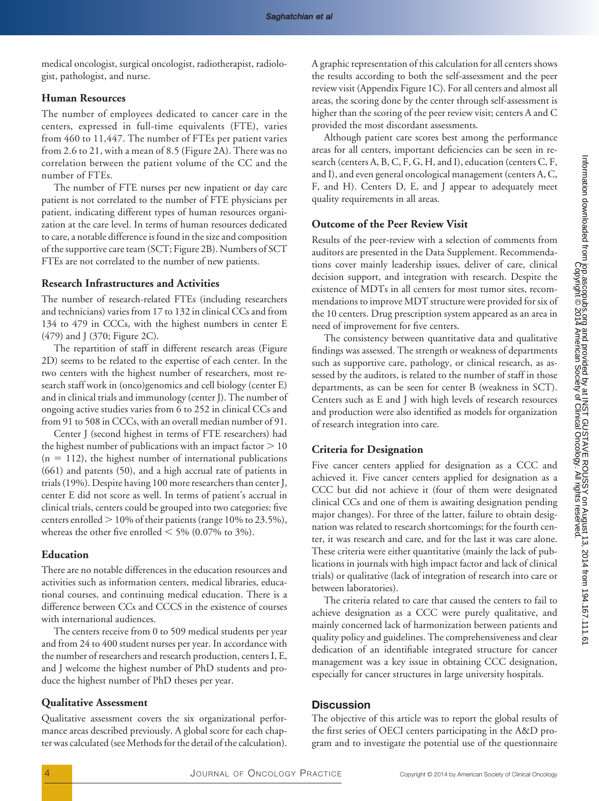### **Human Resources**

The number of employees dedicated to cancer care in the centers, expressed in full-time equivalents (FTE), varies from 460 to 11,447. The number of FTEs per patient varies from 2.6 to 21, with a mean of 8.5 (Figure 2A). There was no correlation between the patient volume of the CC and the number of FTEs.

The number of FTE nurses per new inpatient or day care patient is not correlated to the number of FTE physicians per patient, indicating different types of human resources organization at the care level. In terms of human resources dedicated to care, a notable difference is found in the size and composition of the supportive care team (SCT; Figure 2B). Numbers of SCT FTEs are not correlated to the number of new patients.

## **Research Infrastructures and Activities**

The number of research-related FTEs (including researchers and technicians) varies from 17 to 132 in clinical CCs and from 134 to 479 in CCCs, with the highest numbers in center E (479) and J (370; Figure 2C).

The repartition of staff in different research areas (Figure 2D) seems to be related to the expertise of each center. In the two centers with the highest number of researchers, most research staff work in (onco)genomics and cell biology (center E) and in clinical trials and immunology (center J). The number of ongoing active studies varies from 6 to 252 in clinical CCs and from 91 to 508 in CCCs, with an overall median number of 91.

Center J (second highest in terms of FTE researchers) had the highest number of publications with an impact factor  $> 10$  $(n = 112)$ , the highest number of international publications (661) and patents (50), and a high accrual rate of patients in trials (19%). Despite having 100 more researchers than center J, center E did not score as well. In terms of patient's accrual in clinical trials, centers could be grouped into two categories: five centers enrolled  $> 10\%$  of their patients (range 10% to 23.5%), whereas the other five enrolled  $<$  5% (0.07% to 3%).

# **Education**

There are no notable differences in the education resources and activities such as information centers, medical libraries, educational courses, and continuing medical education. There is a difference between CCs and CCCS in the existence of courses with international audiences.

The centers receive from 0 to 509 medical students per year and from 24 to 400 student nurses per year. In accordance with the number of researchers and research production, centers I, E, and J welcome the highest number of PhD students and produce the highest number of PhD theses per year.

# **Qualitative Assessment**

Qualitative assessment covers the six organizational performance areas described previously. A global score for each chapter was calculated (see Methods for the detail of the calculation).

A graphic representation of this calculation for all centers shows the results according to both the self-assessment and the peer review visit (Appendix Figure 1C). For all centers and almost all areas, the scoring done by the center through self-assessment is higher than the scoring of the peer review visit; centers A and C provided the most discordant assessments.

Although patient care scores best among the performance areas for all centers, important deficiencies can be seen in research (centers A, B, C, F, G, H, and I), education (centers C, F, and I), and even general oncological management (centers A, C, F, and H). Centers D, E, and J appear to adequately meet quality requirements in all areas.

# **Outcome of the Peer Review Visit**

Results of the peer-review with a selection of comments from auditors are presented in the Data Supplement. Recommendations cover mainly leadership issues, deliver of care, clinical decision support, and integration with research. Despite the existence of MDTs in all centers for most tumor sites, recommendations to improve MDT structure were provided for six of the 10 centers. Drug prescription system appeared as an area in need of improvement for five centers.

The consistency between quantitative data and qualitative findings was assessed. The strength or weakness of departments such as supportive care, pathology, or clinical research, as assessed by the auditors, is related to the number of staff in those departments, as can be seen for center B (weakness in SCT). Centers such as E and J with high levels of research resources and production were also identified as models for organization of research integration into care.

# **Criteria for Designation**

Five cancer centers applied for designation as a CCC and achieved it. Five cancer centers applied for designation as a CCC but did not achieve it (four of them were designated clinical CCs and one of them is awaiting designation pending major changes). For three of the latter, failure to obtain designation was related to research shortcomings; for the fourth center, it was research and care, and for the last it was care alone. These criteria were either quantitative (mainly the lack of publications in journals with high impact factor and lack of clinical trials) or qualitative (lack of integration of research into care or between laboratories).

The criteria related to care that caused the centers to fail to achieve designation as a CCC were purely qualitative, and mainly concerned lack of harmonization between patients and quality policy and guidelines. The comprehensiveness and clear dedication of an identifiable integrated structure for cancer management was a key issue in obtaining CCC designation, especially for cancer structures in large university hospitals.

# **Discussion**

The objective of this article was to report the global results of the first series of OECI centers participating in the A&D program and to investigate the potential use of the questionnaire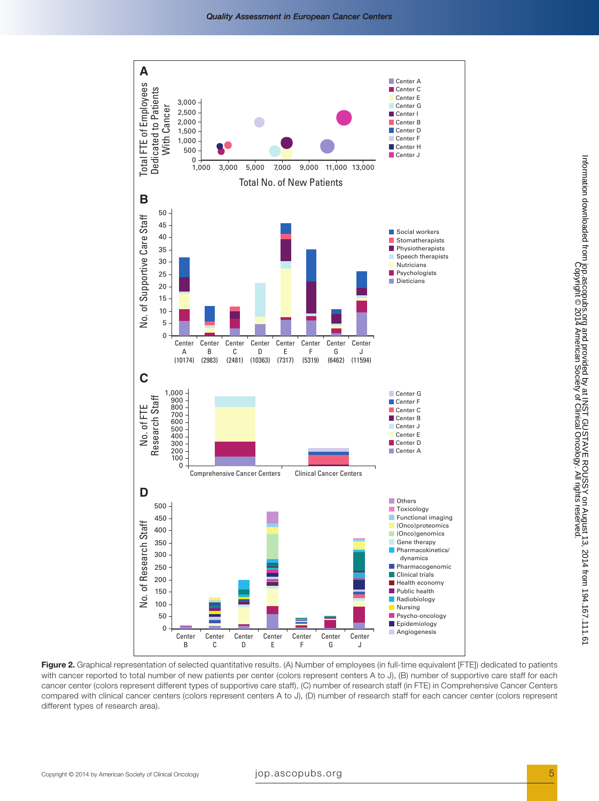

Information downloaded from jop.ascopubs.org and provided by at INST GUSTAVE ROUSSY on August 13, 2014 from 194.167.111.61<br>Information downloaded from jop.ascopubs.org and provided by a Clinical Oncology. All rights reserv Information downloaded from jop.ascopubs.org and provided by at INST GUSTAVE ROUSSY on August 13, 2014 from 194.167.111.61 Copyright © 2014 American Society of Clinical Oncology. All rights reserved.

Figure 2. Graphical representation of selected quantitative results. (A) Number of employees (in full-time equivalent [FTE]) dedicated to patients with cancer reported to total number of new patients per center (colors represent centers A to J), (B) number of supportive care staff for each cancer center (colors represent different types of supportive care staff), (C) number of research staff (in FTE) in Comprehensive Cancer Centers compared with clinical cancer centers (colors represent centers A to J), (D) number of research staff for each cancer center (colors represent different types of research area).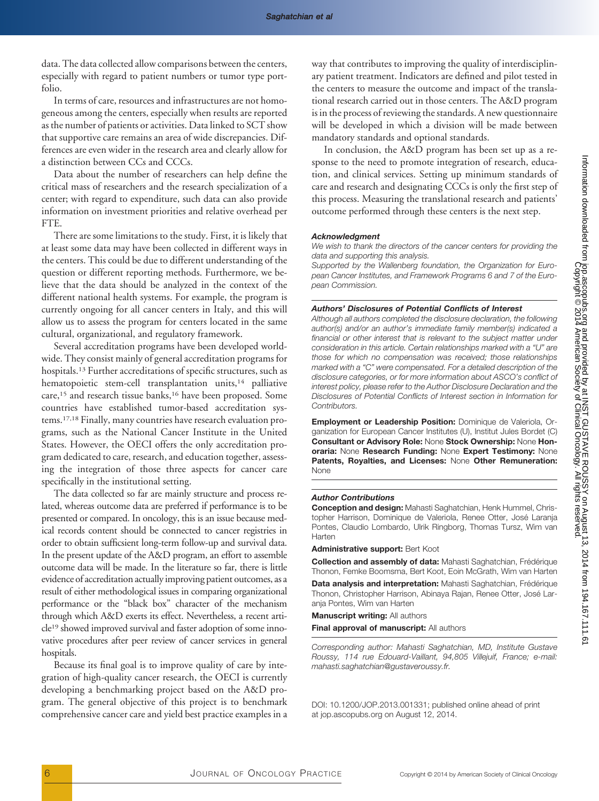data. The data collected allow comparisons between the centers, especially with regard to patient numbers or tumor type portfolio.

In terms of care, resources and infrastructures are not homogeneous among the centers, especially when results are reported as the number of patients or activities. Data linked to SCT show that supportive care remains an area of wide discrepancies. Differences are even wider in the research area and clearly allow for a distinction between CCs and CCCs.

Data about the number of researchers can help define the critical mass of researchers and the research specialization of a center; with regard to expenditure, such data can also provide information on investment priorities and relative overhead per FTE.

There are some limitations to the study. First, it is likely that at least some data may have been collected in different ways in the centers. This could be due to different understanding of the question or different reporting methods. Furthermore, we believe that the data should be analyzed in the context of the different national health systems. For example, the program is currently ongoing for all cancer centers in Italy, and this will allow us to assess the program for centers located in the same cultural, organizational, and regulatory framework.

Several accreditation programs have been developed worldwide. They consist mainly of general accreditation programs for hospitals.13 Further accreditations of specific structures, such as hematopoietic stem-cell transplantation units,<sup>14</sup> palliative care,15 and research tissue banks,16 have been proposed. Some countries have established tumor-based accreditation systems.17,18 Finally, many countries have research evaluation programs, such as the National Cancer Institute in the United States. However, the OECI offers the only accreditation program dedicated to care, research, and education together, assessing the integration of those three aspects for cancer care specifically in the institutional setting.

The data collected so far are mainly structure and process related, whereas outcome data are preferred if performance is to be presented or compared. In oncology, this is an issue because medical records content should be connected to cancer registries in order to obtain sufficsient long-term follow-up and survival data. In the present update of the A&D program, an effort to assemble outcome data will be made. In the literature so far, there is little evidence of accreditation actually improving patient outcomes, as a result of either methodological issues in comparing organizational performance or the "black box" character of the mechanism through which A&D exerts its effect. Nevertheless, a recent article19 showed improved survival and faster adoption of some innovative procedures after peer review of cancer services in general hospitals.

Because its final goal is to improve quality of care by integration of high-quality cancer research, the OECI is currently developing a benchmarking project based on the A&D program. The general objective of this project is to benchmark comprehensive cancer care and yield best practice examples in a way that contributes to improving the quality of interdisciplinary patient treatment. Indicators are defined and pilot tested in the centers to measure the outcome and impact of the translational research carried out in those centers. The A&D program is in the process of reviewing the standards. A new questionnaire will be developed in which a division will be made between mandatory standards and optional standards.

In conclusion, the A&D program has been set up as a response to the need to promote integration of research, education, and clinical services. Setting up minimum standards of care and research and designating CCCs is only the first step of this process. Measuring the translational research and patients' outcome performed through these centers is the next step.

#### *Acknowledgment*

*We wish to thank the directors of the cancer centers for providing the data and supporting this analysis.*

*Supported by the Wallenberg foundation, the Organization for European Cancer Institutes, and Framework Programs 6 and 7 of the European Commission.*

#### *Authors' Disclosures of Potential Conflicts of Interest*

*Although all authors completed the disclosure declaration, the following author(s) and/or an author's immediate family member(s) indicated a financial or other interest that is relevant to the subject matter under consideration in this article. Certain relationships marked with a "U" are those for which no compensation was received; those relationships marked with a "C" were compensated. For a detailed description of the disclosure categories, or for more information about ASCO's conflict of interest policy, please refer to the Author Disclosure Declaration and the Disclosures of Potential Conflicts of Interest section in Information for Contributors.*

**Employment or Leadership Position:** Dominique de Valeriola, Organization for European Cancer Institutes (U), Institut Jules Bordet (C) **Consultant or Advisory Role:** None **Stock Ownership:** None **Honoraria:** None **Research Funding:** None **Expert Testimony:** None **Patents, Royalties, and Licenses:** None **Other Remuneration:** None

#### *Author Contributions*

**Conception and design:** Mahasti Saghatchian, Henk Hummel, Christopher Harrison, Dominique de Valeriola, Renee Otter, José Laranja Pontes, Claudio Lombardo, Ulrik Ringborg, Thomas Tursz, Wim van Harten

#### **Administrative support:** Bert Koot

**Collection and assembly of data: Mahasti Saghatchian, Frédérique** Thonon, Femke Boomsma, Bert Koot, Eoin McGrath, Wim van Harten **Data analysis and interpretation:** Mahasti Saghatchian, Frédérique

Thonon, Christopher Harrison, Abinaya Rajan, Renee Otter, José Laranja Pontes, Wim van Harten

**Manuscript writing:** All authors

**Final approval of manuscript:** All authors

*Corresponding author: Mahasti Saghatchian, MD, Institute Gustave Roussy, 114 rue Edouard-Vaillant, 94,805 Villejuif, France; e-mail: mahasti.saghatchian@gustaveroussy.fr.*

DOI: 10.1200/JOP.2013.001331; published online ahead of print at [jop.ascopubs.org](http://jop.ascopubs.org) on August 12, 2014.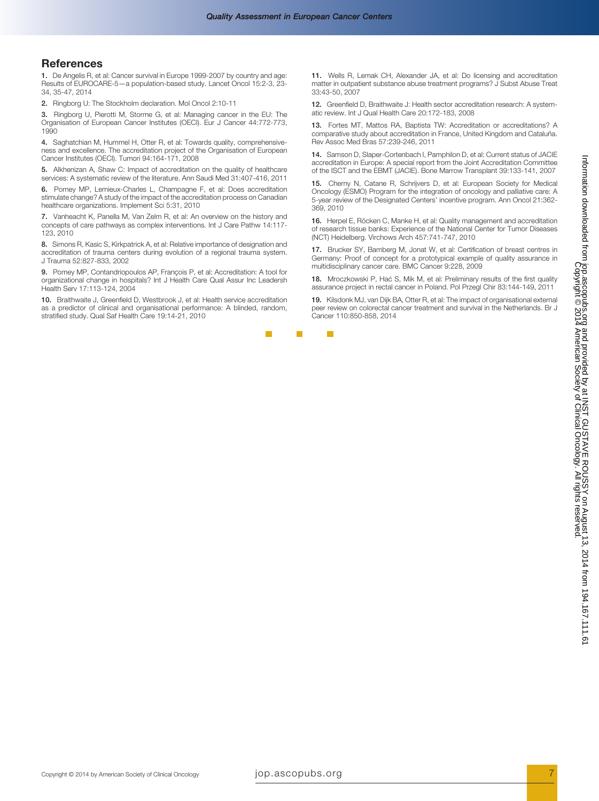#### **References**

**1.** De Angelis R, et al: Cancer survival in Europe 1999-2007 by country and age: Results of EUROCARE-5—a population-based study. Lancet Oncol 15:2-3, 23- 34, 35-47, 2014

**2.** Ringborg U: The Stockholm declaration. Mol Oncol 2:10-11

**3.** Ringborg U, Pierotti M, Storme G, et al: Managing cancer in the EU: The Organisation of European Cancer Institutes (OECI). Eur J Cancer 44:772-773, 1990

**4.** Saghatchian M, Hummel H, Otter R, et al: Towards quality, comprehensiveness and excellence. The accreditation project of the Organisation of European Cancer Institutes (OECI). Tumori 94:164-171, 2008

**5.** Alkhenizan A, Shaw C: Impact of accreditation on the quality of healthcare services: A systematic review of the literature. Ann Saudi Med 31:407-416, 2011

**6.** Pomey MP, Lemieux-Charles L, Champagne F, et al: Does accreditation stimulate change? A study of the impact of the accreditation process on Canadian healthcare organizations. Implement Sci 5:31, 2010

**7.** Vanheacht K, Panella M, Van Zelm R, et al: An overview on the history and concepts of care pathways as complex interventions. Int J Care Pathw 14:117- 123, 2010

**8.** Simons R, Kasic S, Kirkpatrick A, et al: Relative importance of designation and accreditation of trauma centers during evolution of a regional trauma system. J Trauma 52:827-833, 2002

**9.** Pomey MP, Contandriopoulos AP, François P, et al: Accreditation: A tool for organizational change in hospitals? Int J Health Care Qual Assur Inc Leadersh Health Serv 17:113-124, 2004

**10.** Braithwaite J, Greenfield D, Westbrook J, et al: Health service accreditation as a predictor of clinical and organisational performance: A blinded, random, stratified study. Qual Saf Health Care 19:14-21, 2010

**11.** Wells R, Lemak CH, Alexander JA, et al: Do licensing and accreditation matter in outpatient substance abuse treatment programs? J Subst Abuse Treat 33:43-50, 2007

**12.** Greenfield D, Braithwaite J: Health sector accreditation research: A systematic review. Int J Qual Health Care 20:172-183, 2008

**13.** Fortes MT, Mattos RA, Baptista TW: Accreditation or accreditations? A comparative study about accreditation in France, United Kingdom and Cataluña. Rev Assoc Med Bras 57:239-246, 2011

**14.** Samson D, Slaper-Cortenbach I, Pamphilon D, et al: Current status of JACIE accreditation in Europe: A special report from the Joint Accreditation Committee of the ISCT and the EBMT (JACIE). Bone Marrow Transplant 39:133-141, 2007

**15.** Cherny N, Catane R, Schrijvers D, et al: European Society for Medical Oncology (ESMO) Program for the integration of oncology and palliative care: A 5-year review of the Designated Centers' incentive program. Ann Oncol 21:362- 369, 2010

16. Herpel E, Röcken C, Manke H, et al: Quality management and accreditation of research tissue banks: Experience of the National Center for Tumor Diseases (NCT) Heidelberg. Virchows Arch 457:741-747, 2010

**17.** Brucker SY, Bamberg M, Jonat W, et al: Certification of breast centres in Germany: Proof of concept for a prototypical example of quality assurance in multidisciplinary cancer care. BMC Cancer 9:228, 2009

**18.** Mroczkowski P, Hać S, Mik M, et al: Preliminary results of the first quality assurance project in rectal cancer in Poland. Pol Przegl Chir 83:144-149, 2011

**19.** Kilsdonk MJ, van Dijk BA, Otter R, et al: The impact of organisational external peer review on colorectal cancer treatment and survival in the Netherlands. Br J Cancer 110:850-858, 2014

п